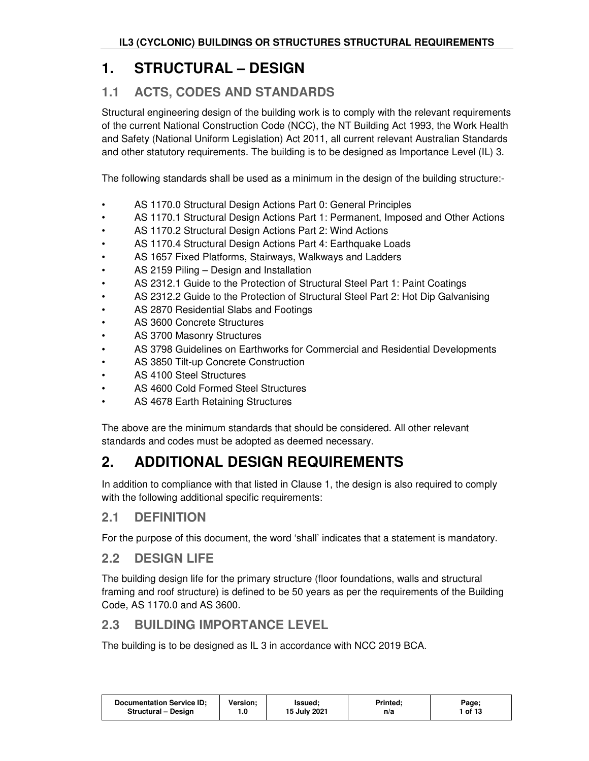# **1. STRUCTURAL – DESIGN**

# **1.1 ACTS, CODES AND STANDARDS**

Structural engineering design of the building work is to comply with the relevant requirements of the current National Construction Code (NCC), the NT Building Act 1993, the Work Health and Safety (National Uniform Legislation) Act 2011, all current relevant Australian Standards and other statutory requirements. The building is to be designed as Importance Level (IL) 3.

The following standards shall be used as a minimum in the design of the building structure:-

- AS 1170.0 Structural Design Actions Part 0: General Principles
- AS 1170.1 Structural Design Actions Part 1: Permanent, Imposed and Other Actions
- AS 1170.2 Structural Design Actions Part 2: Wind Actions
- AS 1170.4 Structural Design Actions Part 4: Earthquake Loads
- AS 1657 Fixed Platforms, Stairways, Walkways and Ladders
- AS 2159 Piling Design and Installation
- AS 2312.1 Guide to the Protection of Structural Steel Part 1: Paint Coatings
- AS 2312.2 Guide to the Protection of Structural Steel Part 2: Hot Dip Galvanising
- AS 2870 Residential Slabs and Footings
- AS 3600 Concrete Structures
- AS 3700 Masonry Structures
- AS 3798 Guidelines on Earthworks for Commercial and Residential Developments
- AS 3850 Tilt-up Concrete Construction
- AS 4100 Steel Structures
- AS 4600 Cold Formed Steel Structures
- AS 4678 Earth Retaining Structures

The above are the minimum standards that should be considered. All other relevant standards and codes must be adopted as deemed necessary.

# **2. ADDITIONAL DESIGN REQUIREMENTS**

In addition to compliance with that listed in Clause 1, the design is also required to comply with the following additional specific requirements:

### **2.1 DEFINITION**

For the purpose of this document, the word 'shall' indicates that a statement is mandatory.

### **2.2 DESIGN LIFE**

The building design life for the primary structure (floor foundations, walls and structural framing and roof structure) is defined to be 50 years as per the requirements of the Building Code, AS 1170.0 and AS 3600.

# **2.3 BUILDING IMPORTANCE LEVEL**

The building is to be designed as IL 3 in accordance with NCC 2019 BCA.

| <b>Documentation Service ID:</b> | Version: | lssued:      | <b>Printed:</b> | Page;   |
|----------------------------------|----------|--------------|-----------------|---------|
| Structural - Design              | 0.،      | 15 July 2021 | n/a             | 1 of 13 |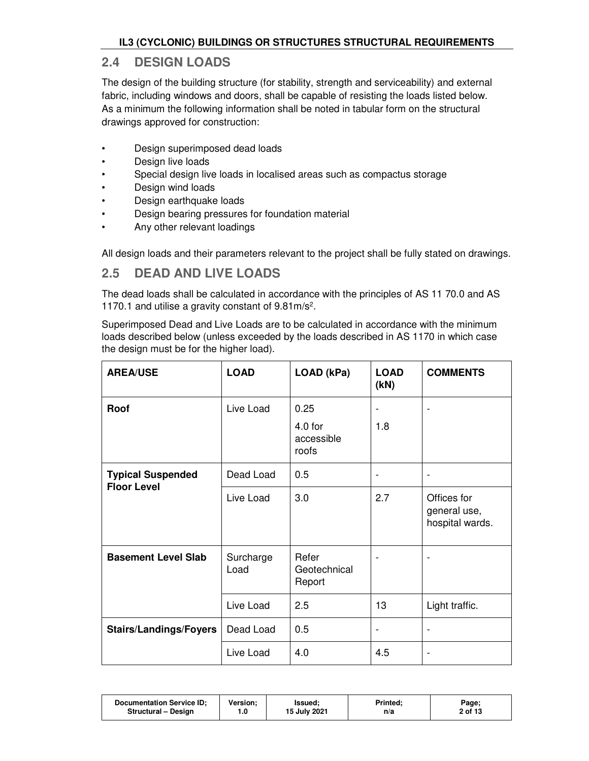### **2.4 DESIGN LOADS**

The design of the building structure (for stability, strength and serviceability) and external fabric, including windows and doors, shall be capable of resisting the loads listed below. As a minimum the following information shall be noted in tabular form on the structural drawings approved for construction:

- Design superimposed dead loads
- Design live loads
- Special design live loads in localised areas such as compactus storage
- Design wind loads
- Design earthquake loads
- Design bearing pressures for foundation material
- Any other relevant loadings

All design loads and their parameters relevant to the project shall be fully stated on drawings.

# **2.5 DEAD AND LIVE LOADS**

The dead loads shall be calculated in accordance with the principles of AS 11 70.0 and AS 1170.1 and utilise a gravity constant of 9.81m/s<sup>2</sup> .

Superimposed Dead and Live Loads are to be calculated in accordance with the minimum loads described below (unless exceeded by the loads described in AS 1170 in which case the design must be for the higher load).

| <b>AREA/USE</b>                                | <b>LOAD</b>       | LOAD (kPa)                               | <b>LOAD</b><br>(kN) | <b>COMMENTS</b>                                |
|------------------------------------------------|-------------------|------------------------------------------|---------------------|------------------------------------------------|
| Roof                                           | Live Load         | 0.25<br>$4.0$ for<br>accessible<br>roofs | 1.8                 |                                                |
| <b>Typical Suspended</b><br><b>Floor Level</b> | Dead Load         | 0.5                                      |                     | $\overline{a}$                                 |
|                                                | Live Load         | 3.0                                      | 2.7                 | Offices for<br>general use,<br>hospital wards. |
| <b>Basement Level Slab</b>                     | Surcharge<br>Load | Refer<br>Geotechnical<br>Report          | -                   | $\overline{a}$                                 |
|                                                | Live Load         | 2.5                                      | 13                  | Light traffic.                                 |
| <b>Stairs/Landings/Foyers</b>                  | Dead Load         | 0.5                                      | -                   | $\overline{a}$                                 |
|                                                | Live Load         | 4.0                                      | 4.5                 | $\overline{a}$                                 |

| <b>Documentation Service ID:</b><br><b>Version:</b><br><b>Structural - Design</b> | Issued:<br>15 July 2021 | <b>Printed:</b><br>n/a | Page;<br>2 of 13 |
|-----------------------------------------------------------------------------------|-------------------------|------------------------|------------------|
|-----------------------------------------------------------------------------------|-------------------------|------------------------|------------------|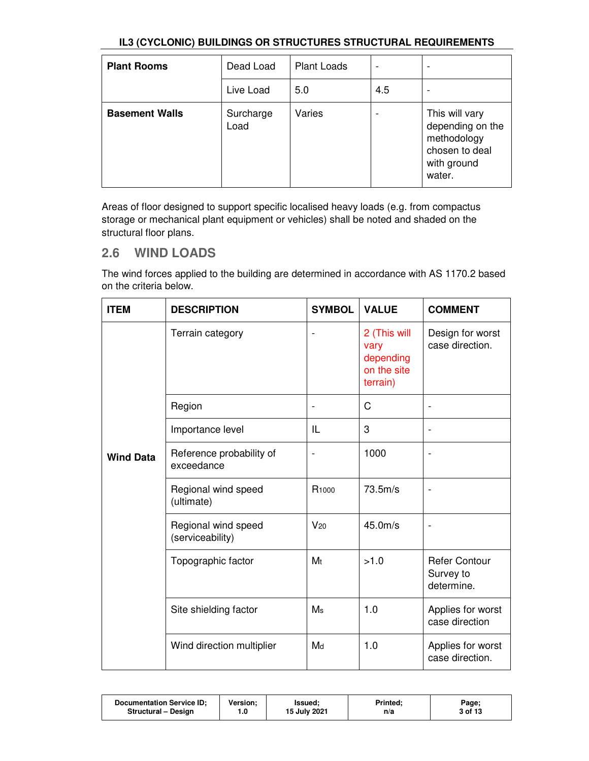| <b>Plant Rooms</b>    | Dead Load         | <b>Plant Loads</b> | $\overline{\phantom{0}}$ |                                                                                              |
|-----------------------|-------------------|--------------------|--------------------------|----------------------------------------------------------------------------------------------|
|                       | Live Load         | 5.0                | 4.5                      |                                                                                              |
| <b>Basement Walls</b> | Surcharge<br>Load | Varies             |                          | This will vary<br>depending on the<br>methodology<br>chosen to deal<br>with ground<br>water. |

Areas of floor designed to support specific localised heavy loads (e.g. from compactus storage or mechanical plant equipment or vehicles) shall be noted and shaded on the structural floor plans.

# **2.6 WIND LOADS**

The wind forces applied to the building are determined in accordance with AS 1170.2 based on the criteria below.

| <b>ITEM</b>      | <b>DESCRIPTION</b>                      | <b>SYMBOL</b>            | <b>VALUE</b>                                                 | <b>COMMENT</b>                                  |
|------------------|-----------------------------------------|--------------------------|--------------------------------------------------------------|-------------------------------------------------|
|                  | Terrain category                        | $\overline{\phantom{0}}$ | 2 (This will<br>vary<br>depending<br>on the site<br>terrain) | Design for worst<br>case direction.             |
|                  | Region                                  |                          | C                                                            |                                                 |
|                  | Importance level                        | IL                       | 3                                                            | $\overline{\phantom{a}}$                        |
| <b>Wind Data</b> | Reference probability of<br>exceedance  | ÷                        | 1000                                                         |                                                 |
|                  | Regional wind speed<br>(ultimate)       | R <sub>1000</sub>        | 73.5m/s                                                      |                                                 |
|                  | Regional wind speed<br>(serviceability) | $V_{20}$                 | 45.0 <sub>m/s</sub>                                          |                                                 |
|                  | Topographic factor                      | M <sub>t</sub>           | >1.0                                                         | <b>Refer Contour</b><br>Survey to<br>determine. |
|                  | Site shielding factor                   | M <sub>s</sub>           | 1.0                                                          | Applies for worst<br>case direction             |
|                  | Wind direction multiplier               | Md                       | 1.0                                                          | Applies for worst<br>case direction.            |

| Version:<br><b>Documentation Service ID:</b><br>Printed:<br>Issued:<br>15 July 2021<br><b>Structural - Design</b><br>0.،<br>n/a | Page;<br>3 of 13 |
|---------------------------------------------------------------------------------------------------------------------------------|------------------|
|---------------------------------------------------------------------------------------------------------------------------------|------------------|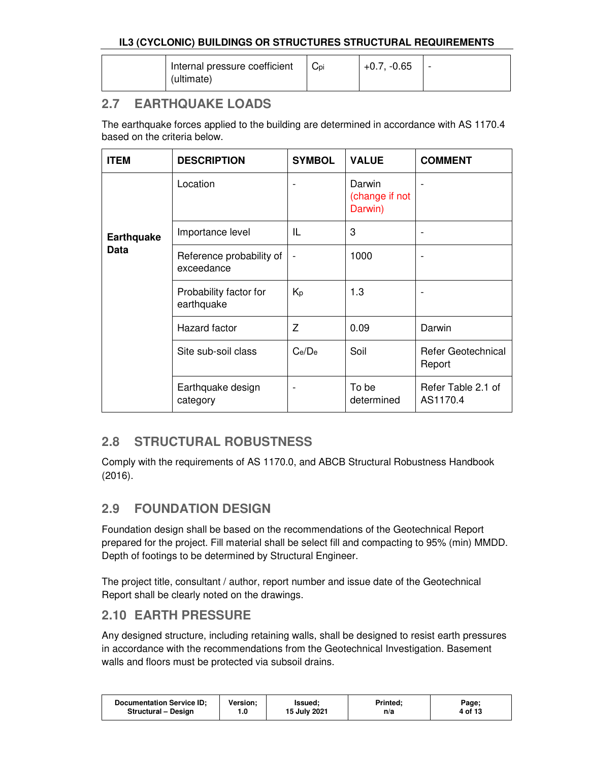| Internal pressure coefficient<br>(ultimate) | Cpi | $+0.7, -0.65$ | - |
|---------------------------------------------|-----|---------------|---|
|                                             |     |               |   |

# **2.7 EARTHQUAKE LOADS**

The earthquake forces applied to the building are determined in accordance with AS 1170.4 based on the criteria below.

| <b>ITEM</b>       | <b>DESCRIPTION</b>                     | <b>SYMBOL</b>                | <b>VALUE</b>                        | <b>COMMENT</b>                      |
|-------------------|----------------------------------------|------------------------------|-------------------------------------|-------------------------------------|
|                   | Location                               |                              | Darwin<br>(change if not<br>Darwin) |                                     |
| <b>Earthquake</b> | Importance level                       | IL                           | 3                                   |                                     |
| Data              | Reference probability of<br>exceedance | $\qquad \qquad \blacksquare$ | 1000                                | -                                   |
|                   | Probability factor for<br>earthquake   | Кp                           | 1.3                                 | $\qquad \qquad \blacksquare$        |
|                   | Hazard factor                          | 7                            | 0.09                                | Darwin                              |
|                   | Site sub-soil class                    | Ce/De                        | Soil                                | <b>Refer Geotechnical</b><br>Report |
|                   | Earthquake design<br>category          |                              | To be<br>determined                 | Refer Table 2.1 of<br>AS1170.4      |

# **2.8 STRUCTURAL ROBUSTNESS**

Comply with the requirements of AS 1170.0, and ABCB Structural Robustness Handbook (2016).

# **2.9 FOUNDATION DESIGN**

Foundation design shall be based on the recommendations of the Geotechnical Report prepared for the project. Fill material shall be select fill and compacting to 95% (min) MMDD. Depth of footings to be determined by Structural Engineer.

The project title, consultant / author, report number and issue date of the Geotechnical Report shall be clearly noted on the drawings.

### **2.10 EARTH PRESSURE**

Any designed structure, including retaining walls, shall be designed to resist earth pressures in accordance with the recommendations from the Geotechnical Investigation. Basement walls and floors must be protected via subsoil drains.

| <b>Documentation Service ID:</b> | Version: | Issued:      | <b>Printed:</b> | Page;   |
|----------------------------------|----------|--------------|-----------------|---------|
| Structural - Design              | 0. ا     | 15 July 2021 | n/a             | 4 of 13 |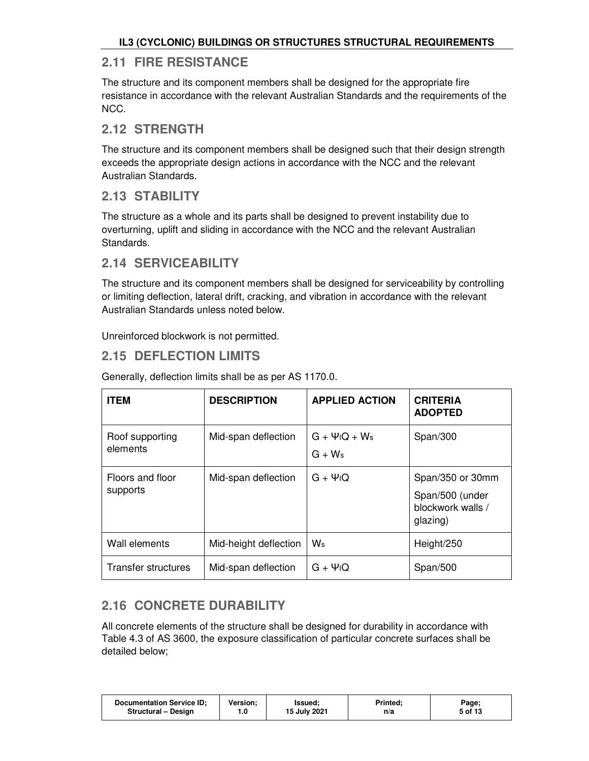# **2.11 FIRE RESISTANCE**

The structure and its component members shall be designed for the appropriate fire resistance in accordance with the relevant Australian Standards and the requirements of the NCC.

### **2.12 STRENGTH**

The structure and its component members shall be designed such that their design strength exceeds the appropriate design actions in accordance with the NCC and the relevant Australian Standards.

# **2.13 STABILITY**

The structure as a whole and its parts shall be designed to prevent instability due to overturning, uplift and sliding in accordance with the NCC and the relevant Australian Standards.

# **2.14 SERVICEABILITY**

The structure and its component members shall be designed for serviceability by controlling or limiting deflection, lateral drift, cracking, and vibration in accordance with the relevant Australian Standards unless noted below.

Unreinforced blockwork is not permitted.

# **2.15 DEFLECTION LIMITS**

| <b>ITEM</b>                  | <b>DESCRIPTION</b>    | <b>APPLIED ACTION</b>                                   | <b>CRITERIA</b><br><b>ADOPTED</b>                                    |
|------------------------------|-----------------------|---------------------------------------------------------|----------------------------------------------------------------------|
| Roof supporting<br>elements  | Mid-span deflection   | $G + \Psi$ <sub>I</sub> Q + W <sub>s</sub><br>$G + W_s$ | Span/300                                                             |
| Floors and floor<br>supports | Mid-span deflection   | $G + \Psi$ <sub>I</sub> Q                               | Span/350 or 30mm<br>Span/500 (under<br>blockwork walls /<br>glazing) |
| Wall elements                | Mid-height deflection | Ws                                                      | Height/250                                                           |
| Transfer structures          | Mid-span deflection   | $G + \Psi$ <sub>I</sub> Q                               | Span/500                                                             |

Generally, deflection limits shall be as per AS 1170.0.

# **2.16 CONCRETE DURABILITY**

All concrete elements of the structure shall be designed for durability in accordance with Table 4.3 of AS 3600, the exposure classification of particular concrete surfaces shall be detailed below;

| <b>Version:</b><br><b>Documentation Service ID:</b><br>lssued;<br>15 July 2021<br><b>Structural - Design</b><br>0. ا | <b>Printed:</b><br>n/a | Page;<br>5 of 13 |
|----------------------------------------------------------------------------------------------------------------------|------------------------|------------------|
|----------------------------------------------------------------------------------------------------------------------|------------------------|------------------|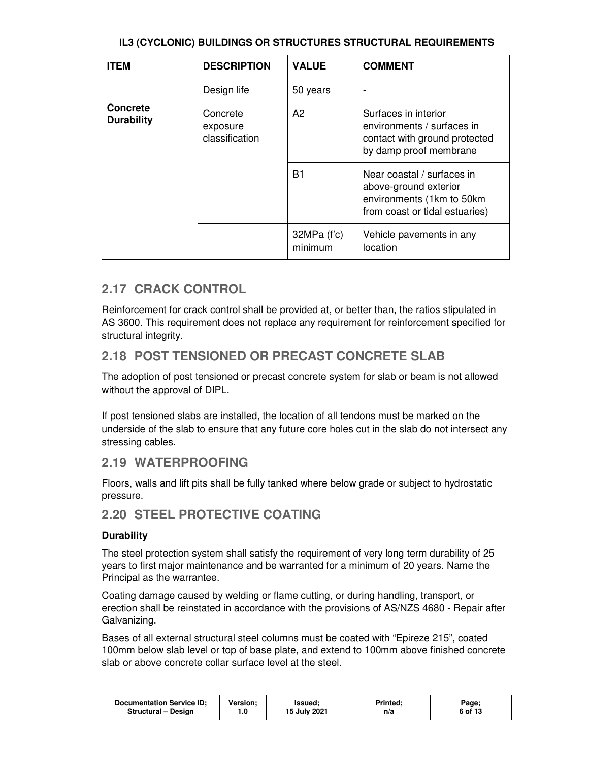| <b>ITEM</b>                          | <b>DESCRIPTION</b>                     | <b>VALUE</b>             | <b>COMMENT</b>                                                                                                     |
|--------------------------------------|----------------------------------------|--------------------------|--------------------------------------------------------------------------------------------------------------------|
|                                      | Design life                            | 50 years                 |                                                                                                                    |
| <b>Concrete</b><br><b>Durability</b> | Concrete<br>exposure<br>classification | A2                       | Surfaces in interior<br>environments / surfaces in<br>contact with ground protected<br>by damp proof membrane      |
|                                      |                                        | B1                       | Near coastal / surfaces in<br>above-ground exterior<br>environments (1km to 50km<br>from coast or tidal estuaries) |
|                                      |                                        | $32MPa$ (f'c)<br>minimum | Vehicle pavements in any<br>location                                                                               |

# **2.17 CRACK CONTROL**

Reinforcement for crack control shall be provided at, or better than, the ratios stipulated in AS 3600. This requirement does not replace any requirement for reinforcement specified for structural integrity.

# **2.18 POST TENSIONED OR PRECAST CONCRETE SLAB**

The adoption of post tensioned or precast concrete system for slab or beam is not allowed without the approval of DIPL.

If post tensioned slabs are installed, the location of all tendons must be marked on the underside of the slab to ensure that any future core holes cut in the slab do not intersect any stressing cables.

### **2.19 WATERPROOFING**

Floors, walls and lift pits shall be fully tanked where below grade or subject to hydrostatic pressure.

### **2.20 STEEL PROTECTIVE COATING**

### **Durability**

The steel protection system shall satisfy the requirement of very long term durability of 25 years to first major maintenance and be warranted for a minimum of 20 years. Name the Principal as the warrantee.

Coating damage caused by welding or flame cutting, or during handling, transport, or erection shall be reinstated in accordance with the provisions of AS/NZS 4680 - Repair after Galvanizing.

Bases of all external structural steel columns must be coated with "Epireze 215", coated 100mm below slab level or top of base plate, and extend to 100mm above finished concrete slab or above concrete collar surface level at the steel.

| <b>Documentation Service ID:</b><br><b>Version:</b><br><b>Structural - Design</b><br>1.0 | Issued:<br>15 July 2021 | Printed:<br>n/a | Page;<br>6 of 13 |
|------------------------------------------------------------------------------------------|-------------------------|-----------------|------------------|
|------------------------------------------------------------------------------------------|-------------------------|-----------------|------------------|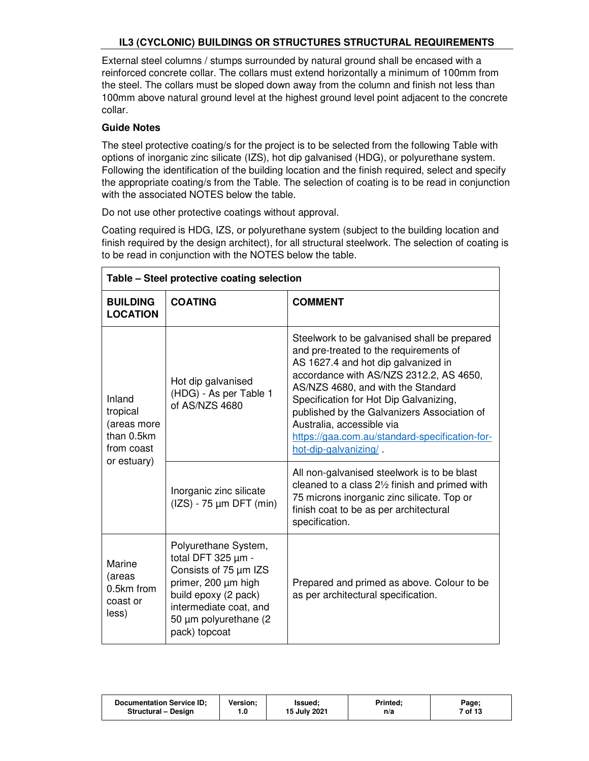External steel columns / stumps surrounded by natural ground shall be encased with a reinforced concrete collar. The collars must extend horizontally a minimum of 100mm from the steel. The collars must be sloped down away from the column and finish not less than 100mm above natural ground level at the highest ground level point adjacent to the concrete collar.

#### **Guide Notes**

The steel protective coating/s for the project is to be selected from the following Table with options of inorganic zinc silicate (IZS), hot dip galvanised (HDG), or polyurethane system. Following the identification of the building location and the finish required, select and specify the appropriate coating/s from the Table. The selection of coating is to be read in conjunction with the associated NOTES below the table.

Do not use other protective coatings without approval.

Coating required is HDG, IZS, or polyurethane system (subject to the building location and finish required by the design architect), for all structural steelwork. The selection of coating is to be read in conjunction with the NOTES below the table.

|                                                                              | Table - Steel protective coating selection                                                                                                                                              |                                                                                                                                                                                                                                                                                                                                                                                                                                                                                                                           |  |  |  |
|------------------------------------------------------------------------------|-----------------------------------------------------------------------------------------------------------------------------------------------------------------------------------------|---------------------------------------------------------------------------------------------------------------------------------------------------------------------------------------------------------------------------------------------------------------------------------------------------------------------------------------------------------------------------------------------------------------------------------------------------------------------------------------------------------------------------|--|--|--|
| <b>BUILDING</b><br><b>LOCATION</b>                                           | <b>COATING</b>                                                                                                                                                                          | <b>COMMENT</b>                                                                                                                                                                                                                                                                                                                                                                                                                                                                                                            |  |  |  |
| Inland<br>tropical<br>(areas more<br>than 0.5km<br>from coast<br>or estuary) | Hot dip galvanised<br>(HDG) - As per Table 1<br>of AS/NZS 4680                                                                                                                          | Steelwork to be galvanised shall be prepared<br>and pre-treated to the requirements of<br>AS 1627.4 and hot dip galvanized in<br>accordance with AS/NZS 2312.2, AS 4650,<br>AS/NZS 4680, and with the Standard<br>Specification for Hot Dip Galvanizing,<br>published by the Galvanizers Association of<br>Australia, accessible via<br>https://gaa.com.au/standard-specification-for-<br>hot-dip-galvanizing/<br>All non-galvanised steelwork is to be blast<br>cleaned to a class $2\frac{1}{2}$ finish and primed with |  |  |  |
|                                                                              | Inorganic zinc silicate<br>$(IZS) - 75 \mu m$ DFT (min)                                                                                                                                 | 75 microns inorganic zinc silicate. Top or<br>finish coat to be as per architectural<br>specification.                                                                                                                                                                                                                                                                                                                                                                                                                    |  |  |  |
| Marine<br>(areas<br>0.5km from<br>coast or<br>less)                          | Polyurethane System,<br>total DFT 325 µm -<br>Consists of 75 µm IZS<br>primer, 200 µm high<br>build epoxy (2 pack)<br>intermediate coat, and<br>50 µm polyurethane (2)<br>pack) topcoat | Prepared and primed as above. Colour to be<br>as per architectural specification.                                                                                                                                                                                                                                                                                                                                                                                                                                         |  |  |  |

| <b>Documentation Service ID:</b> | Version: | Issued:      | Printed: | Page;   |
|----------------------------------|----------|--------------|----------|---------|
| Structural - Design              |          | 15 July 2021 | n/a      | 7 of 13 |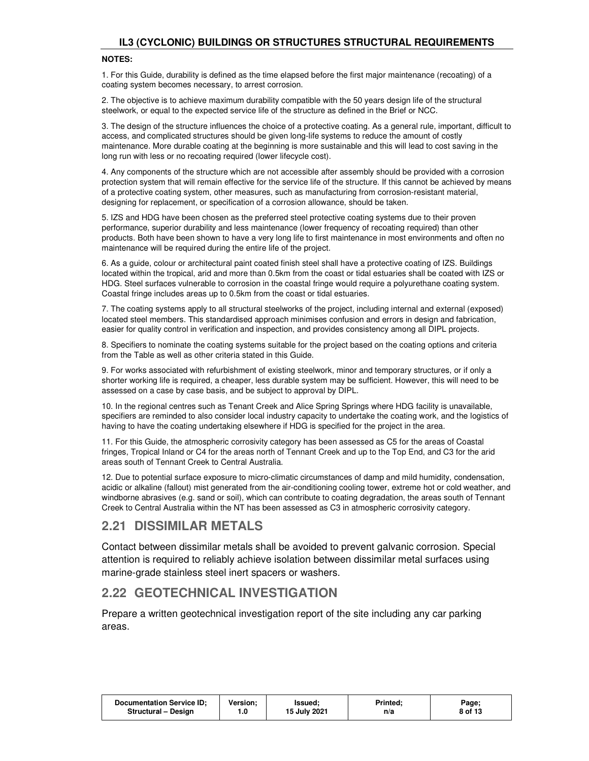#### **NOTES:**

1. For this Guide, durability is defined as the time elapsed before the first major maintenance (recoating) of a coating system becomes necessary, to arrest corrosion.

2. The objective is to achieve maximum durability compatible with the 50 years design life of the structural steelwork, or equal to the expected service life of the structure as defined in the Brief or NCC.

3. The design of the structure influences the choice of a protective coating. As a general rule, important, difficult to access, and complicated structures should be given long-life systems to reduce the amount of costly maintenance. More durable coating at the beginning is more sustainable and this will lead to cost saving in the long run with less or no recoating required (lower lifecycle cost).

4. Any components of the structure which are not accessible after assembly should be provided with a corrosion protection system that will remain effective for the service life of the structure. If this cannot be achieved by means of a protective coating system, other measures, such as manufacturing from corrosion-resistant material, designing for replacement, or specification of a corrosion allowance, should be taken.

5. IZS and HDG have been chosen as the preferred steel protective coating systems due to their proven performance, superior durability and less maintenance (lower frequency of recoating required) than other products. Both have been shown to have a very long life to first maintenance in most environments and often no maintenance will be required during the entire life of the project.

6. As a guide, colour or architectural paint coated finish steel shall have a protective coating of IZS. Buildings located within the tropical, arid and more than 0.5km from the coast or tidal estuaries shall be coated with IZS or HDG. Steel surfaces vulnerable to corrosion in the coastal fringe would require a polyurethane coating system. Coastal fringe includes areas up to 0.5km from the coast or tidal estuaries.

7. The coating systems apply to all structural steelworks of the project, including internal and external (exposed) located steel members. This standardised approach minimises confusion and errors in design and fabrication, easier for quality control in verification and inspection, and provides consistency among all DIPL projects.

8. Specifiers to nominate the coating systems suitable for the project based on the coating options and criteria from the Table as well as other criteria stated in this Guide.

9. For works associated with refurbishment of existing steelwork, minor and temporary structures, or if only a shorter working life is required, a cheaper, less durable system may be sufficient. However, this will need to be assessed on a case by case basis, and be subject to approval by DIPL.

10. In the regional centres such as Tenant Creek and Alice Spring Springs where HDG facility is unavailable, specifiers are reminded to also consider local industry capacity to undertake the coating work, and the logistics of having to have the coating undertaking elsewhere if HDG is specified for the project in the area.

11. For this Guide, the atmospheric corrosivity category has been assessed as C5 for the areas of Coastal fringes, Tropical Inland or C4 for the areas north of Tennant Creek and up to the Top End, and C3 for the arid areas south of Tennant Creek to Central Australia.

12. Due to potential surface exposure to micro-climatic circumstances of damp and mild humidity, condensation, acidic or alkaline (fallout) mist generated from the air-conditioning cooling tower, extreme hot or cold weather, and windborne abrasives (e.g. sand or soil), which can contribute to coating degradation, the areas south of Tennant Creek to Central Australia within the NT has been assessed as C3 in atmospheric corrosivity category.

### **2.21 DISSIMILAR METALS**

Contact between dissimilar metals shall be avoided to prevent galvanic corrosion. Special attention is required to reliably achieve isolation between dissimilar metal surfaces using marine-grade stainless steel inert spacers or washers.

### **2.22 GEOTECHNICAL INVESTIGATION**

Prepare a written geotechnical investigation report of the site including any car parking areas.

| Documentation Service ID;<br><b>Version:</b><br>lssued:<br>15 July 2021<br>Structural - Design<br>. 0 | Printed:<br>Page;<br>8 of 13<br>n/a |
|-------------------------------------------------------------------------------------------------------|-------------------------------------|
|-------------------------------------------------------------------------------------------------------|-------------------------------------|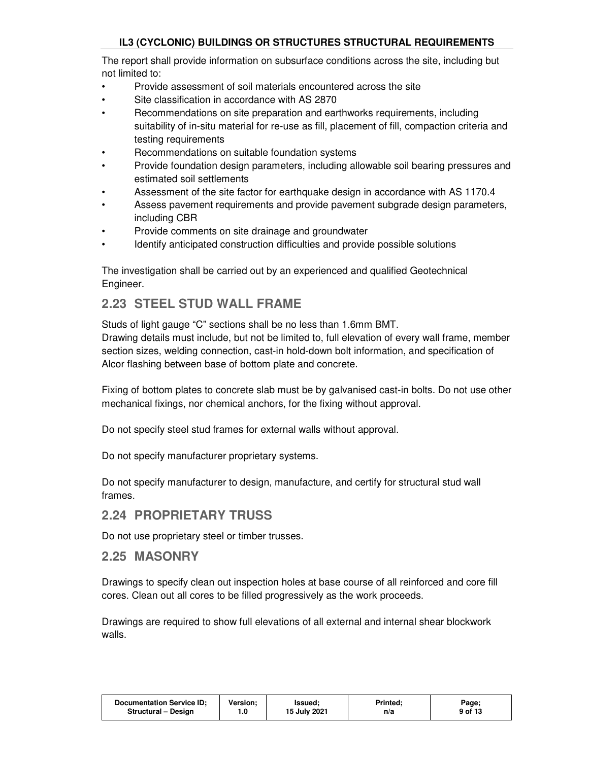The report shall provide information on subsurface conditions across the site, including but not limited to:

- Provide assessment of soil materials encountered across the site
- Site classification in accordance with AS 2870
- Recommendations on site preparation and earthworks requirements, including suitability of in-situ material for re-use as fill, placement of fill, compaction criteria and testing requirements
- Recommendations on suitable foundation systems
- Provide foundation design parameters, including allowable soil bearing pressures and estimated soil settlements
- Assessment of the site factor for earthquake design in accordance with AS 1170.4
- Assess pavement requirements and provide pavement subgrade design parameters, including CBR
- Provide comments on site drainage and groundwater
- Identify anticipated construction difficulties and provide possible solutions

The investigation shall be carried out by an experienced and qualified Geotechnical Engineer.

### **2.23 STEEL STUD WALL FRAME**

Studs of light gauge "C" sections shall be no less than 1.6mm BMT.

Drawing details must include, but not be limited to, full elevation of every wall frame, member section sizes, welding connection, cast-in hold-down bolt information, and specification of Alcor flashing between base of bottom plate and concrete.

Fixing of bottom plates to concrete slab must be by galvanised cast-in bolts. Do not use other mechanical fixings, nor chemical anchors, for the fixing without approval.

Do not specify steel stud frames for external walls without approval.

Do not specify manufacturer proprietary systems.

Do not specify manufacturer to design, manufacture, and certify for structural stud wall frames.

### **2.24 PROPRIETARY TRUSS**

Do not use proprietary steel or timber trusses.

### **2.25 MASONRY**

Drawings to specify clean out inspection holes at base course of all reinforced and core fill cores. Clean out all cores to be filled progressively as the work proceeds.

Drawings are required to show full elevations of all external and internal shear blockwork walls.

| <b>Documentation Service ID:</b> | Version: | lssued:      | <b>Printed:</b> | Page;   |
|----------------------------------|----------|--------------|-----------------|---------|
| Structural - Design              | 0.،      | 15 July 2021 | n/a             | 9 of 13 |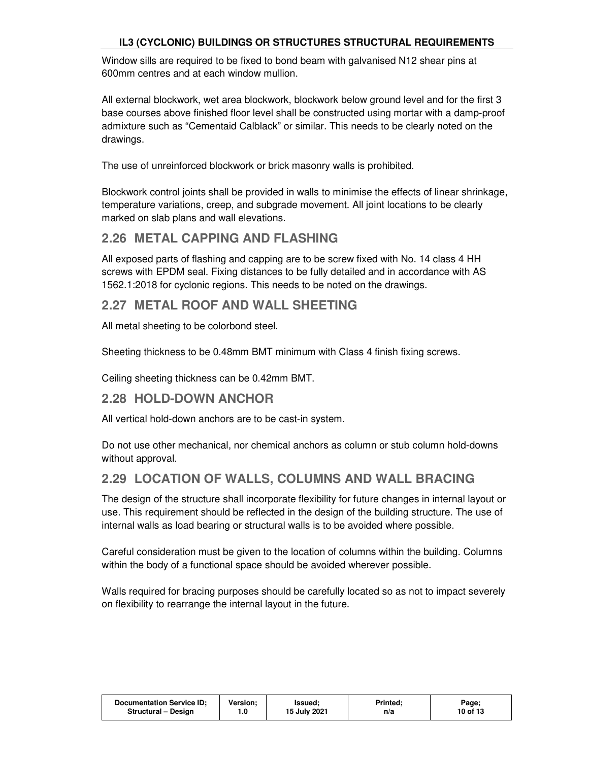Window sills are required to be fixed to bond beam with galvanised N12 shear pins at 600mm centres and at each window mullion.

All external blockwork, wet area blockwork, blockwork below ground level and for the first 3 base courses above finished floor level shall be constructed using mortar with a damp-proof admixture such as "Cementaid Calblack" or similar. This needs to be clearly noted on the drawings.

The use of unreinforced blockwork or brick masonry walls is prohibited.

Blockwork control joints shall be provided in walls to minimise the effects of linear shrinkage, temperature variations, creep, and subgrade movement. All joint locations to be clearly marked on slab plans and wall elevations.

# **2.26 METAL CAPPING AND FLASHING**

All exposed parts of flashing and capping are to be screw fixed with No. 14 class 4 HH screws with EPDM seal. Fixing distances to be fully detailed and in accordance with AS 1562.1:2018 for cyclonic regions. This needs to be noted on the drawings.

# **2.27 METAL ROOF AND WALL SHEETING**

All metal sheeting to be colorbond steel.

Sheeting thickness to be 0.48mm BMT minimum with Class 4 finish fixing screws.

Ceiling sheeting thickness can be 0.42mm BMT.

# **2.28 HOLD-DOWN ANCHOR**

All vertical hold-down anchors are to be cast-in system.

Do not use other mechanical, nor chemical anchors as column or stub column hold-downs without approval.

### **2.29 LOCATION OF WALLS, COLUMNS AND WALL BRACING**

The design of the structure shall incorporate flexibility for future changes in internal layout or use. This requirement should be reflected in the design of the building structure. The use of internal walls as load bearing or structural walls is to be avoided where possible.

Careful consideration must be given to the location of columns within the building. Columns within the body of a functional space should be avoided wherever possible.

Walls required for bracing purposes should be carefully located so as not to impact severely on flexibility to rearrange the internal layout in the future.

| <b>Documentation Service ID:</b><br><b>Version:</b><br>Structural - Design<br>0. ا | lssued:<br>15 July 2021 | <b>Printed:</b><br>n/a | Page;<br>10 of 13 |
|------------------------------------------------------------------------------------|-------------------------|------------------------|-------------------|
|------------------------------------------------------------------------------------|-------------------------|------------------------|-------------------|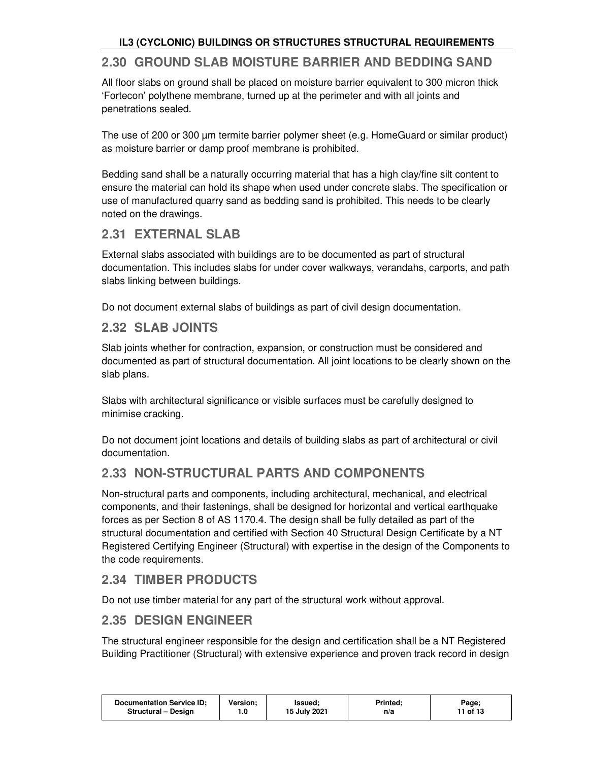# **2.30 GROUND SLAB MOISTURE BARRIER AND BEDDING SAND**

All floor slabs on ground shall be placed on moisture barrier equivalent to 300 micron thick 'Fortecon' polythene membrane, turned up at the perimeter and with all joints and penetrations sealed.

The use of 200 or 300 µm termite barrier polymer sheet (e.g. HomeGuard or similar product) as moisture barrier or damp proof membrane is prohibited.

Bedding sand shall be a naturally occurring material that has a high clay/fine silt content to ensure the material can hold its shape when used under concrete slabs. The specification or use of manufactured quarry sand as bedding sand is prohibited. This needs to be clearly noted on the drawings.

# **2.31 EXTERNAL SLAB**

External slabs associated with buildings are to be documented as part of structural documentation. This includes slabs for under cover walkways, verandahs, carports, and path slabs linking between buildings.

Do not document external slabs of buildings as part of civil design documentation.

### **2.32 SLAB JOINTS**

Slab joints whether for contraction, expansion, or construction must be considered and documented as part of structural documentation. All joint locations to be clearly shown on the slab plans.

Slabs with architectural significance or visible surfaces must be carefully designed to minimise cracking.

Do not document joint locations and details of building slabs as part of architectural or civil documentation.

### **2.33 NON-STRUCTURAL PARTS AND COMPONENTS**

Non-structural parts and components, including architectural, mechanical, and electrical components, and their fastenings, shall be designed for horizontal and vertical earthquake forces as per Section 8 of AS 1170.4. The design shall be fully detailed as part of the structural documentation and certified with Section 40 Structural Design Certificate by a NT Registered Certifying Engineer (Structural) with expertise in the design of the Components to the code requirements.

# **2.34 TIMBER PRODUCTS**

Do not use timber material for any part of the structural work without approval.

### **2.35 DESIGN ENGINEER**

The structural engineer responsible for the design and certification shall be a NT Registered Building Practitioner (Structural) with extensive experience and proven track record in design

| 15 July 2021<br>11 of 13<br>Structural - Design<br>n/a | <b>Documentation Service ID:</b> | Version: | Issued: | <b>Printed:</b> | Page; |
|--------------------------------------------------------|----------------------------------|----------|---------|-----------------|-------|
|--------------------------------------------------------|----------------------------------|----------|---------|-----------------|-------|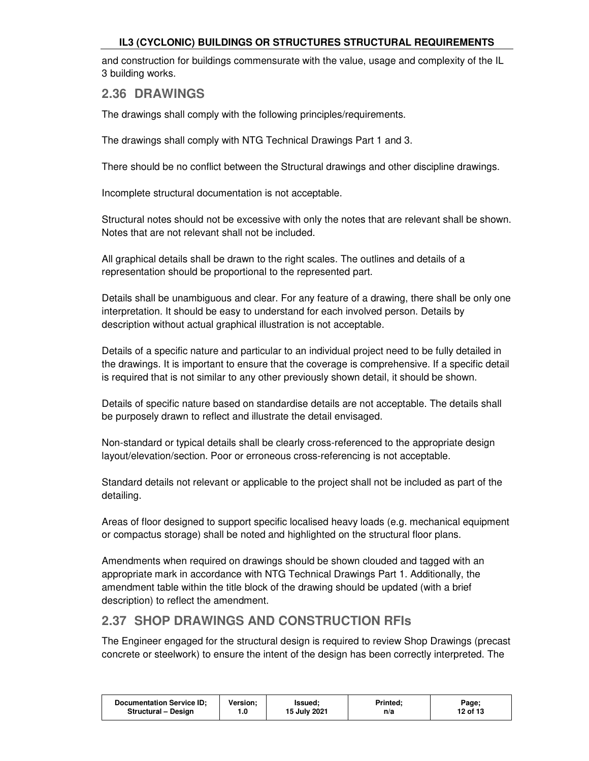and construction for buildings commensurate with the value, usage and complexity of the IL 3 building works.

### **2.36 DRAWINGS**

The drawings shall comply with the following principles/requirements.

The drawings shall comply with NTG Technical Drawings Part 1 and 3.

There should be no conflict between the Structural drawings and other discipline drawings.

Incomplete structural documentation is not acceptable.

Structural notes should not be excessive with only the notes that are relevant shall be shown. Notes that are not relevant shall not be included.

All graphical details shall be drawn to the right scales. The outlines and details of a representation should be proportional to the represented part.

Details shall be unambiguous and clear. For any feature of a drawing, there shall be only one interpretation. It should be easy to understand for each involved person. Details by description without actual graphical illustration is not acceptable.

Details of a specific nature and particular to an individual project need to be fully detailed in the drawings. It is important to ensure that the coverage is comprehensive. If a specific detail is required that is not similar to any other previously shown detail, it should be shown.

Details of specific nature based on standardise details are not acceptable. The details shall be purposely drawn to reflect and illustrate the detail envisaged.

Non-standard or typical details shall be clearly cross-referenced to the appropriate design layout/elevation/section. Poor or erroneous cross-referencing is not acceptable.

Standard details not relevant or applicable to the project shall not be included as part of the detailing.

Areas of floor designed to support specific localised heavy loads (e.g. mechanical equipment or compactus storage) shall be noted and highlighted on the structural floor plans.

Amendments when required on drawings should be shown clouded and tagged with an appropriate mark in accordance with NTG Technical Drawings Part 1. Additionally, the amendment table within the title block of the drawing should be updated (with a brief description) to reflect the amendment.

### **2.37 SHOP DRAWINGS AND CONSTRUCTION RFIs**

The Engineer engaged for the structural design is required to review Shop Drawings (precast concrete or steelwork) to ensure the intent of the design has been correctly interpreted. The

| Version:<br><b>Documentation Service ID:</b><br>Structural - Design | Issued:<br>15 July 2021 | Printed:<br>n/a | Page;<br>12 of 13 |
|---------------------------------------------------------------------|-------------------------|-----------------|-------------------|
|---------------------------------------------------------------------|-------------------------|-----------------|-------------------|